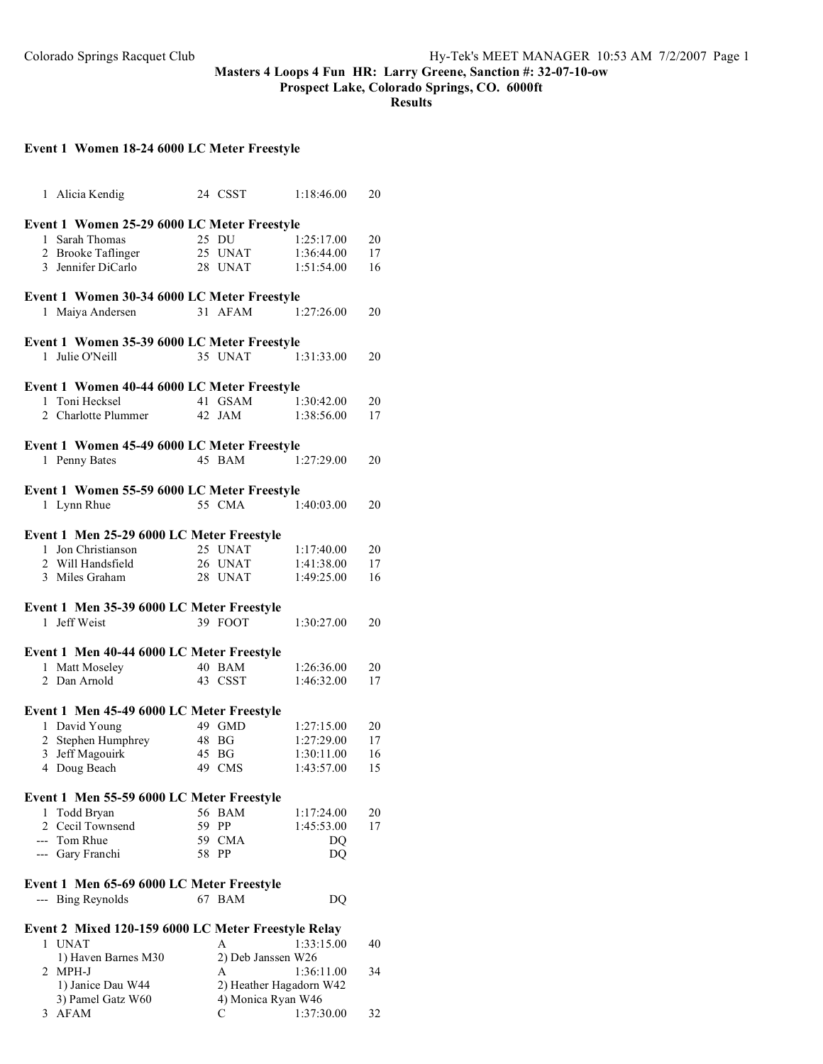### **Masters 4 Loops 4 Fun HR: Larry Greene, Sanction #: 32-07-10-ow**

**Prospect Lake, Colorado Springs, CO. 6000ft**

**Results**

# **Event 1 Women 18-24 6000 LC Meter Freestyle**

| 1 Alicia Kendig                                     |                                             | 24 CSST                 | 1:18:46.00     | 20 |  |  |
|-----------------------------------------------------|---------------------------------------------|-------------------------|----------------|----|--|--|
| Event 1 Women 25-29 6000 LC Meter Freestyle         |                                             |                         |                |    |  |  |
| 1 Sarah Thomas                                      |                                             | 25 DU                   | 1:25:17.00     | 20 |  |  |
|                                                     |                                             |                         |                |    |  |  |
| 2 Brooke Taflinger                                  |                                             | 25 UNAT                 | 1:36:44.00     | 17 |  |  |
| 3 Jennifer DiCarlo                                  |                                             | 28 UNAT                 | 1:51:54.00     | 16 |  |  |
|                                                     | Event 1 Women 30-34 6000 LC Meter Freestyle |                         |                |    |  |  |
| 1 Maiya Andersen                                    |                                             | 31 AFAM                 | 1:27:26.00     | 20 |  |  |
| Event 1 Women 35-39 6000 LC Meter Freestyle         |                                             |                         |                |    |  |  |
| 1 Julie O'Neill                                     |                                             | 35 UNAT                 | 1:31:33.00     | 20 |  |  |
|                                                     |                                             |                         |                |    |  |  |
| Event 1 Women 40-44 6000 LC Meter Freestyle         |                                             |                         |                |    |  |  |
| 1 Toni Hecksel                                      |                                             | 41 GSAM                 | 1:30:42.00     | 20 |  |  |
| 2 Charlotte Plummer                                 |                                             | 42 JAM                  | 1:38:56.00     | 17 |  |  |
| Event 1 Women 45-49 6000 LC Meter Freestyle         |                                             |                         |                |    |  |  |
| 1 Penny Bates                                       |                                             | 45 BAM                  | 1:27:29.00     | 20 |  |  |
|                                                     |                                             |                         |                |    |  |  |
| Event 1 Women 55-59 6000 LC Meter Freestyle         |                                             |                         |                |    |  |  |
| 1 Lynn Rhue                                         |                                             | 55 CMA                  | 1:40:03.00     | 20 |  |  |
|                                                     |                                             |                         |                |    |  |  |
| Event 1 Men 25-29 6000 LC Meter Freestyle           |                                             |                         |                |    |  |  |
| 1 Jon Christianson                                  |                                             | 25 UNAT                 | 1:17:40.00     | 20 |  |  |
| 2   Will Handsfield                                 |                                             | 26 UNAT                 | 1:41:38.00     | 17 |  |  |
| 3 Miles Graham                                      |                                             | 28 UNAT                 | 1:49:25.00     | 16 |  |  |
|                                                     |                                             |                         |                |    |  |  |
| Event 1 Men 35-39 6000 LC Meter Freestyle           |                                             |                         |                |    |  |  |
| 1 Jeff Weist                                        |                                             | 39 FOOT                 | 1:30:27.00     | 20 |  |  |
| Event 1 Men 40-44 6000 LC Meter Freestyle           |                                             |                         |                |    |  |  |
|                                                     |                                             | 40 BAM                  | 1:26:36.00     |    |  |  |
| 1 Matt Moseley                                      |                                             |                         |                | 20 |  |  |
| 2 Dan Arnold                                        |                                             | 43 CSST                 | 1:46:32.00     | 17 |  |  |
| Event 1 Men 45-49 6000 LC Meter Freestyle           |                                             |                         |                |    |  |  |
| 1 David Young                                       |                                             | 49 GMD                  | 1:27:15.00     | 20 |  |  |
| 2 Stephen Humphrey                                  |                                             | 48 BG                   | 1:27:29.00     | 17 |  |  |
| 3 Jeff Magouirk                                     |                                             | 45 BG                   | 1:30:11.00     | 16 |  |  |
| Doug Beach<br>4                                     |                                             | 49 CMS                  | 1:43:57.00     | 15 |  |  |
|                                                     |                                             |                         |                |    |  |  |
| Event 1 Men 55-59 6000 LC Meter Freestyle           |                                             |                         |                |    |  |  |
| 1<br>Todd Bryan                                     |                                             | 56 BAM                  | 1:17:24.00     | 20 |  |  |
| 2 Cecil Townsend                                    |                                             | 59 PP                   | 1:45:53.00     | 17 |  |  |
| --- Tom Rhue                                        |                                             | 59 CMA                  | DQ             |    |  |  |
| --- Gary Franchi                                    | 58                                          | PP                      | D <sub>O</sub> |    |  |  |
|                                                     |                                             |                         |                |    |  |  |
| Event 1 Men 65-69 6000 LC Meter Freestyle           |                                             |                         |                |    |  |  |
| --- Bing Reynolds                                   |                                             | 67 BAM                  | DQ             |    |  |  |
|                                                     |                                             |                         |                |    |  |  |
| Event 2 Mixed 120-159 6000 LC Meter Freestyle Relay |                                             |                         |                |    |  |  |
| 1 UNAT                                              |                                             | A                       | 1:33:15.00     | 40 |  |  |
| 1) Haven Barnes M30                                 |                                             | 2) Deb Janssen W26      |                |    |  |  |
| 2 MPH-J                                             |                                             | A<br>1:36:11.00<br>34   |                |    |  |  |
| 1) Janice Dau W44                                   |                                             | 2) Heather Hagadorn W42 |                |    |  |  |
| 3) Pamel Gatz W60                                   |                                             | 4) Monica Ryan W46      |                |    |  |  |
| AFAM<br>3                                           |                                             | С                       | 1:37:30.00     | 32 |  |  |